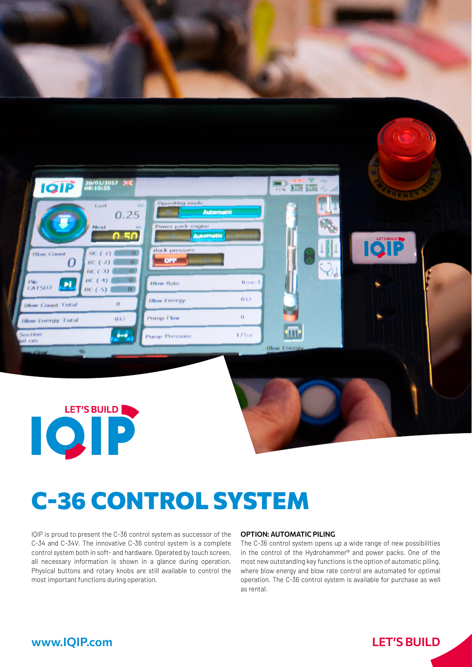

# C-36 CONTROL SYSTEM

IQIP is proud to present the C-36 control system as successor of the C-34 and C-34V. The innovative C-36 control system is a complete control system both in soft- and hardware. Operated by touch screen, all necessary information is shown in a glance during operation. Physical buttons and rotary knobs are still available to control the most important functions during operation.

#### OPTION: AUTOMATIC PILING

The C-36 control system opens up a wide range of new possibilities in the control of the Hydrohammer® and power packs. One of the most new outstanding key functions is the option of automatic piling, where blow energy and blow rate control are automated for optimal operation. The C-36 control system is available for purchase as well as rental.

### www.IQIP.com

## LET**'**S BUILD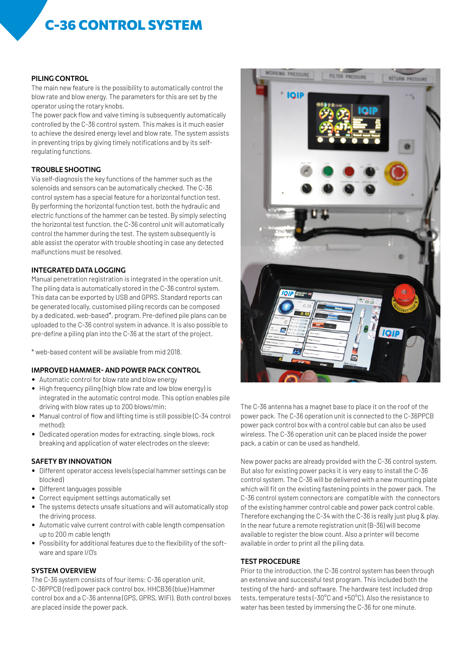# C-36 CONTROL SYSTEM

#### PILING CONTROL

The main new feature is the possibility to automatically control the blow rate and blow energy. The parameters for this are set by the operator using the rotary knobs.

The power pack flow and valve timing is subsequently automatically controlled by the C-36 control system. This makes is it much easier to achieve the desired energy level and blow rate. The system assists in preventing trips by giving timely notifications and by its selfregulating functions.

#### TROUBLE SHOOTING

Via self-diagnosis the key functions of the hammer such as the solenoids and sensors can be automatically checked. The C-36 control system has a special feature for a horizontal function test. By performing the horizontal function test, both the hydraulic and electric functions of the hammer can be tested. By simply selecting the horizontal test function, the C-36 control unit will automatically control the hammer during the test. The system subsequently is able assist the operator with trouble shooting in case any detected malfunctions must be resolved.

#### INTEGRATED DATA LOGGING

Manual penetration registration is integrated in the operation unit. The piling data is automatically stored in the C-36 control system. This data can be exported by USB and GPRS. Standard reports can be generated locally, customised piling records can be composed by a dedicated, web-based\*, program. Pre-defined pile plans can be uploaded to the C-36 control system in advance. It is also possible to pre-define a piling plan into the C-36 at the start of the project.

\* web-based content will be available from mid 2018.

#### IMPROVED HAMMER- AND POWER PACK CONTROL

- Automatic control for blow rate and blow energy
- High frequency piling (high blow rate and low blow energy) is integrated in the automatic control mode. This option enables pile driving with blow rates up to 200 blows/min;
- Manual control of flow and lifting time is still possible (C-34 control method);
- Dedicated operation modes for extracting, single blows, rock breaking and application of water electrodes on the sleeve;

#### SAFETY BY INNOVATION

- Different operator access levels (special hammer settings can be blocked)
- Different languages possible
- Correct equipment settings automatically set
- The systems detects unsafe situations and will automatically stop the driving process.
- Automatic valve current control with cable length compensation up to 200 m cable length
- Possibility for additional features due to the flexibility of the software and spare I/O's

#### SYSTEM OVERVIEW

The C-36 system consists of four items: C-36 operation unit, C-36PPCB (red) power pack control box, HHCB36 (blue) Hammer control box and a C-36 antenna (GPS, GPRS, WIFI). Both control boxes are placed inside the power pack.



The C-36 antenna has a magnet base to place it on the roof of the power pack. The C-36 operation unit is connected to the C-36PPCB power pack control box with a control cable but can also be used wireless. The C-36 operation unit can be placed inside the power pack, a cabin or can be used as handheld.

New power packs are already provided with the C-36 control system. But also for existing power packs it is very easy to install the C-36 control system. The C-36 will be delivered with a new mounting plate which will fit on the existing fastening points in the power pack. The C-36 control system connectors are compatible with the connectors of the existing hammer control cable and power pack control cable. Therefore exchanging the C-34 with the C-36 is really just plug & play. In the near future a remote registration unit (B-36) will become available to register the blow count. Also a printer will become available in order to print all the piling data.

#### TEST PROCEDURE

Prior to the introduction, the C-36 control system has been through an extensive and successful test program. This included both the testing of the hard- and software. The hardware test included drop tests, temperature tests (-30°C and +50°C). Also the resistance to water has been tested by immersing the C-36 for one minute.